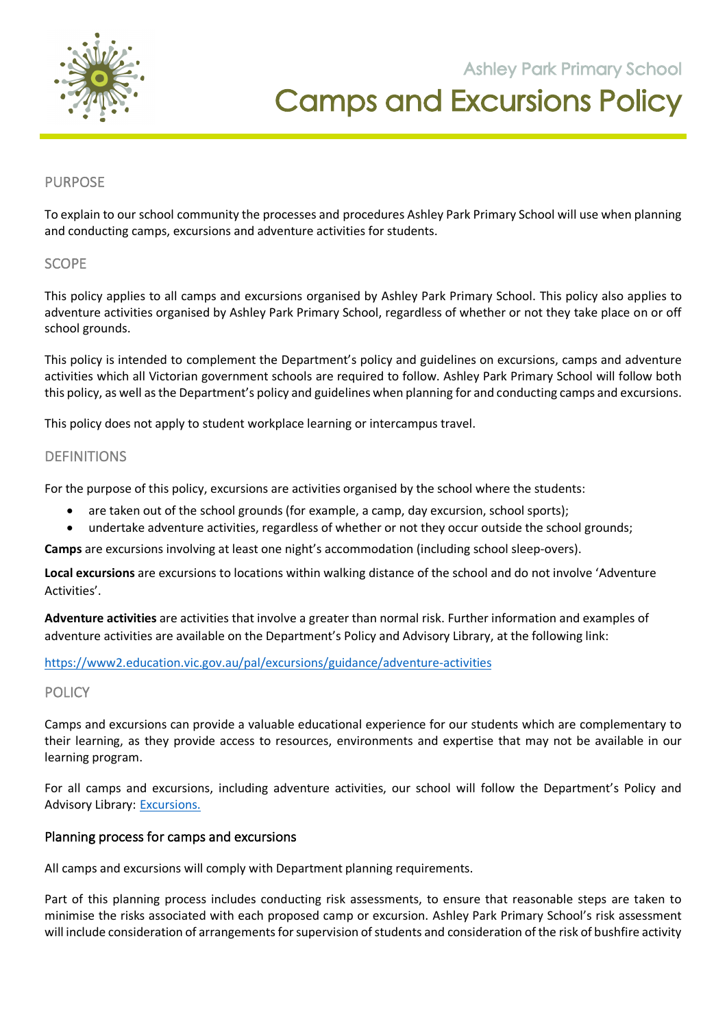

**105 Orchard Road Doreen 3754**

### PURPOSE

To explain to our school community the processes and procedures Ashley Park Primary School will use when planning and conducting camps, excursions and adventure activities for students.

#### **SCOPE**

This policy applies to all camps and excursions organised by Ashley Park Primary School. This policy also applies to adventure activities organised by Ashley Park Primary School, regardless of whether or not they take place on or off school grounds.

This policy is intended to complement the Department's policy and guidelines on excursions, camps and adventure activities which all Victorian government schools are required to follow. Ashley Park Primary School will follow both this policy, as well as the Department's policy and guidelines when planning for and conducting camps and excursions.

This policy does not apply to student workplace learning or intercampus travel.

### DEFINITIONS

For the purpose of this policy, excursions are activities organised by the school where the students:

- are taken out of the school grounds (for example, a camp, day excursion, school sports);
- undertake adventure activities, regardless of whether or not they occur outside the school grounds;

**Camps** are excursions involving at least one night's accommodation (including school sleep-overs).

**Local excursions** are excursions to locations within walking distance of the school and do not involve 'Adventure Activities'.

**Adventure activities** are activities that involve a greater than normal risk. Further information and examples of adventure activities are available on the Department's Policy and Advisory Library, at the following link:

#### https://www2.education.vic.gov.au/pal/excursions/guidance/adventure-activities

#### **POLICY**

Camps and excursions can provide a valuable educational experience for our students which are complementary to their learning, as they provide access to resources, environments and expertise that may not be available in our learning program.

For all camps and excursions, including adventure activities, our school will follow the Department's Policy and Advisory Library: Excursions.

### Planning process for camps and excursions

All camps and excursions will comply with Department planning requirements.

Part of this planning process includes conducting risk assessments, to ensure that reasonable steps are taken to minimise the risks associated with each proposed camp or excursion. Ashley Park Primary School's risk assessment will include consideration of arrangements for supervision of students and consideration of the risk of bushfire activity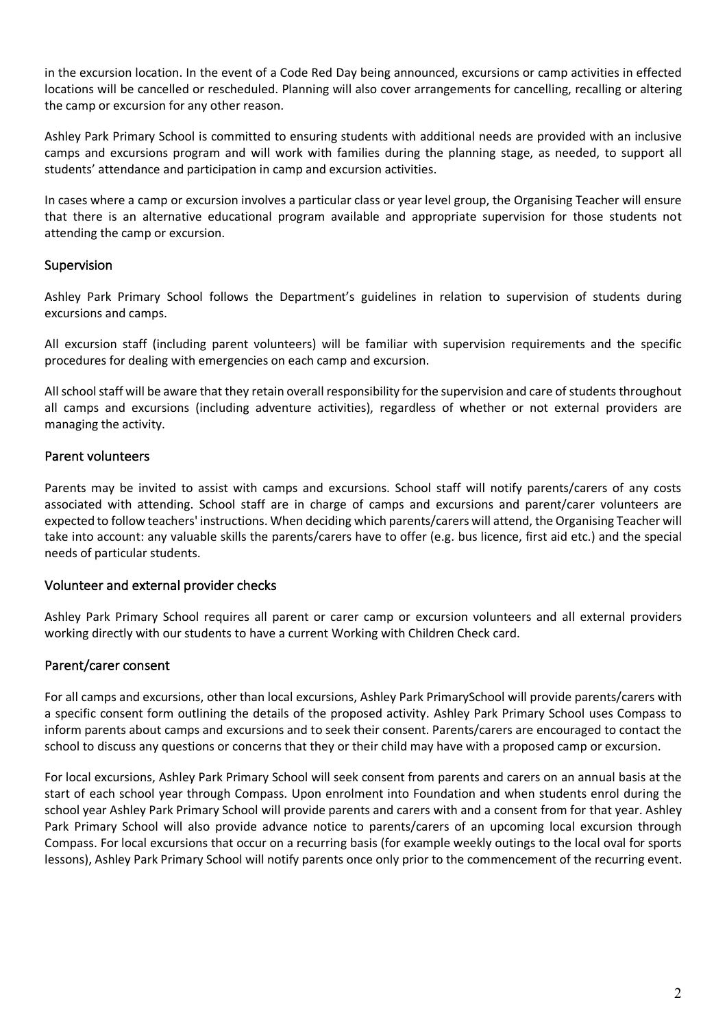in the excursion location. In the event of a Code Red Day being announced, excursions or camp activities in effected locations will be cancelled or rescheduled. Planning will also cover arrangements for cancelling, recalling or altering the camp or excursion for any other reason.

Ashley Park Primary School is committed to ensuring students with additional needs are provided with an inclusive camps and excursions program and will work with families during the planning stage, as needed, to support all students' attendance and participation in camp and excursion activities.

In cases where a camp or excursion involves a particular class or year level group, the Organising Teacher will ensure that there is an alternative educational program available and appropriate supervision for those students not attending the camp or excursion.

# Supervision

Ashley Park Primary School follows the Department's guidelines in relation to supervision of students during excursions and camps.

All excursion staff (including parent volunteers) will be familiar with supervision requirements and the specific procedures for dealing with emergencies on each camp and excursion.

All school staff will be aware that they retain overall responsibility for the supervision and care of students throughout all camps and excursions (including adventure activities), regardless of whether or not external providers are managing the activity.

# Parent volunteers

Parents may be invited to assist with camps and excursions. School staff will notify parents/carers of any costs associated with attending. School staff are in charge of camps and excursions and parent/carer volunteers are expected to follow teachers' instructions. When deciding which parents/carers will attend, the Organising Teacher will take into account: any valuable skills the parents/carers have to offer (e.g. bus licence, first aid etc.) and the special needs of particular students.

### Volunteer and external provider checks

Ashley Park Primary School requires all parent or carer camp or excursion volunteers and all external providers working directly with our students to have a current Working with Children Check card.

# Parent/carer consent

For all camps and excursions, other than local excursions, Ashley Park PrimarySchool will provide parents/carers with a specific consent form outlining the details of the proposed activity. Ashley Park Primary School uses Compass to inform parents about camps and excursions and to seek their consent. Parents/carers are encouraged to contact the school to discuss any questions or concerns that they or their child may have with a proposed camp or excursion.

For local excursions, Ashley Park Primary School will seek consent from parents and carers on an annual basis at the start of each school year through Compass. Upon enrolment into Foundation and when students enrol during the school year Ashley Park Primary School will provide parents and carers with and a consent from for that year. Ashley Park Primary School will also provide advance notice to parents/carers of an upcoming local excursion through Compass. For local excursions that occur on a recurring basis (for example weekly outings to the local oval for sports lessons), Ashley Park Primary School will notify parents once only prior to the commencement of the recurring event.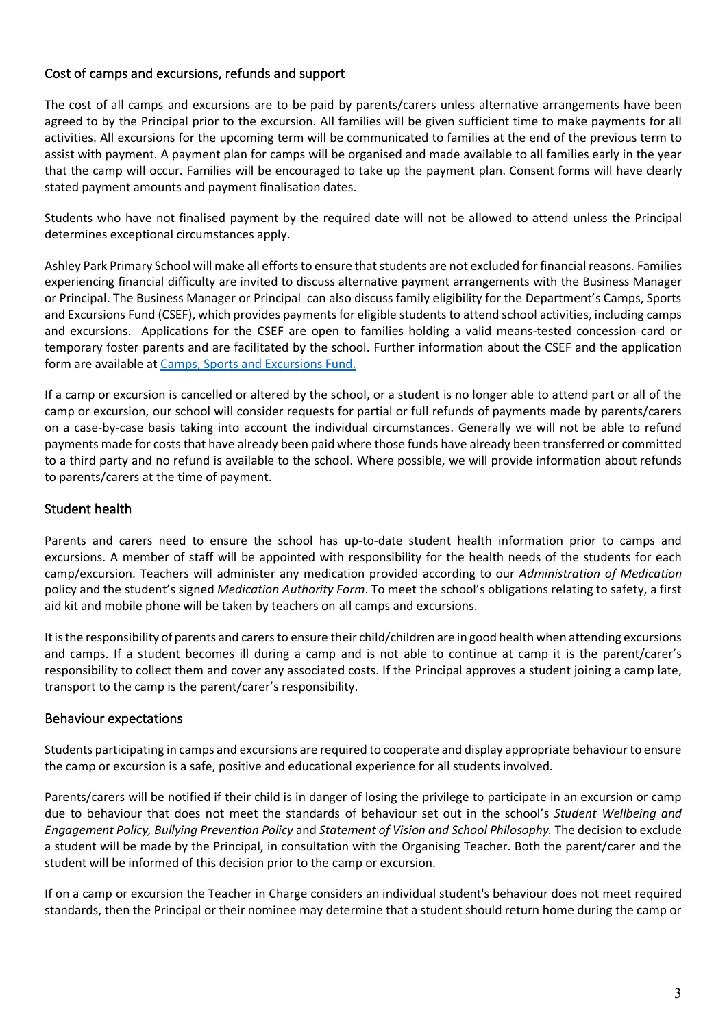# Cost of camps and excursions, refunds and support

The cost of all camps and excursions are to be paid by parents/carers unless alternative arrangements have been agreed to by the Principal prior to the excursion. All families will be given sufficient time to make payments for all activities. All excursions for the upcoming term will be communicated to families at the end of the previous term to assist with payment. A payment plan for camps will be organised and made available to all families early in the year that the camp will occur. Families will be encouraged to take up the payment plan. Consent forms will have clearly stated payment amounts and payment finalisation dates.

Students who have not finalised payment by the required date will not be allowed to attend unless the Principal determines exceptional circumstances apply.

Ashley Park Primary School will make all efforts to ensure that students are not excluded for financial reasons. Families experiencing financial difficulty are invited to discuss alternative payment arrangements with the Business Manager or Principal. The Business Manager or Principal can also discuss family eligibility for the Department's Camps, Sports and Excursions Fund (CSEF), which provides payments for eligible students to attend school activities, including camps and excursions. Applications for the CSEF are open to families holding a valid means-tested concession card or temporary foster parents and are facilitated by the school. Further information about the CSEF and the application form are available at Camps, Sports and Excursions Fund.

If a camp or excursion is cancelled or altered by the school, or a student is no longer able to attend part or all of the camp or excursion, our school will consider requests for partial or full refunds of payments made by parents/carers on a case-by-case basis taking into account the individual circumstances. Generally we will not be able to refund payments made for costs that have already been paid where those funds have already been transferred or committed to a third party and no refund is available to the school. Where possible, we will provide information about refunds to parents/carers at the time of payment.

# Student health

Parents and carers need to ensure the school has up-to-date student health information prior to camps and excursions. A member of staff will be appointed with responsibility for the health needs of the students for each camp/excursion. Teachers will administer any medication provided according to our *Administration of Medication* policy and the student's signed *Medication Authority Form*. To meet the school's obligations relating to safety, a first aid kit and mobile phone will be taken by teachers on all camps and excursions.

It is the responsibility of parents and carers to ensure their child/children are in good health when attending excursions and camps. If a student becomes ill during a camp and is not able to continue at camp it is the parent/carer's responsibility to collect them and cover any associated costs. If the Principal approves a student joining a camp late, transport to the camp is the parent/carer's responsibility.

### Behaviour expectations

Students participating in camps and excursions are required to cooperate and display appropriate behaviour to ensure the camp or excursion is a safe, positive and educational experience for all students involved.

Parents/carers will be notified if their child is in danger of losing the privilege to participate in an excursion or camp due to behaviour that does not meet the standards of behaviour set out in the school's *Student Wellbeing and Engagement Policy, Bullying Prevention Policy* and *Statement of Vision and School Philosophy.* The decision to exclude a student will be made by the Principal, in consultation with the Organising Teacher. Both the parent/carer and the student will be informed of this decision prior to the camp or excursion.

If on a camp or excursion the Teacher in Charge considers an individual student's behaviour does not meet required standards, then the Principal or their nominee may determine that a student should return home during the camp or